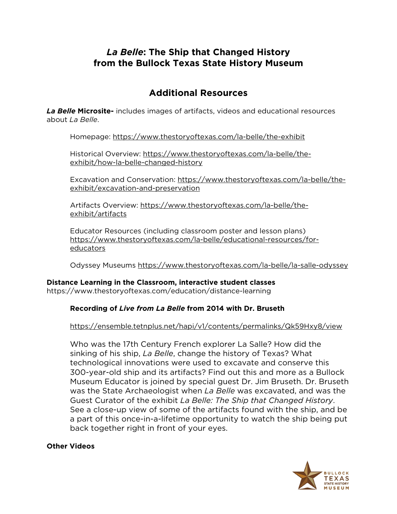# *La Belle***: The Ship that Changed History from the [Bullock Texas State History](https://www.thestoryoftexas.com/education/distance-learning) Museum**

# **Additional Resources**

*La Belle* **Microsite-** includes images of artifacts, videos and educational resources about *La Belle*.

Homepage:<https://www.thestoryoftexas.com/la-belle/the-exhibit>

Historical Overview: [https://www.thestoryoftexas.com/la-belle/the](https://www.thestoryoftexas.com/la-belle/the-exhibit/how-la-belle-changed-history)[exhibit/how-la-belle-changed-history](https://www.thestoryoftexas.com/la-belle/the-exhibit/how-la-belle-changed-history)

Excavation and Conservation: [https://www.thestoryoftexas.com/la-belle/the](https://www.thestoryoftexas.com/la-belle/the-exhibit/excavation-and-preservation)[exhibit/excavation-and-preservation](https://www.thestoryoftexas.com/la-belle/the-exhibit/excavation-and-preservation)

Artifacts Overview: [https://www.thestoryoftexas.com/la-belle/the](https://www.thestoryoftexas.com/la-belle/the-exhibit/artifacts)[exhibit/artifacts](https://www.thestoryoftexas.com/la-belle/the-exhibit/artifacts)

Educator Resources (including classroom poster and lesson plans) [https://www.thestoryoftexas.com/la-belle/educational-resources/for](https://www.thestoryoftexas.com/la-belle/educational-resources/for-educators)[educators](https://www.thestoryoftexas.com/la-belle/educational-resources/for-educators)

Odyssey Museums<https://www.thestoryoftexas.com/la-belle/la-salle-odyssey>

# **Distance Learning in the Classroom, interactive student classes**

<https://www.thestoryoftexas.com/education/distance-learning>

# **Recording of** *Live from La Belle* **from 2014 with Dr. Bruseth**

## <https://ensemble.tetnplus.net/hapi/v1/contents/permalinks/Qk59Hxy8/view>

Who was the 17th Century French explorer La Salle? How did the sinking of his ship, *La Belle*, change the history of Texas? What technological innovations were used to excavate and conserve this 300-year-old ship and its artifacts? Find out this and more as a Bullock Museum Educator is joined by special guest Dr. Jim Bruseth. Dr. Bruseth was the State Archaeologist when *La Belle* was excavated, and was the Guest Curator of the exhibit *La Belle: The Ship that Changed History*. See a close-up view of some of the artifacts found with the ship, and be a part of this once-in-a-lifetime opportunity to watch the ship being put back together right in front of your eyes.

#### **Other Videos**

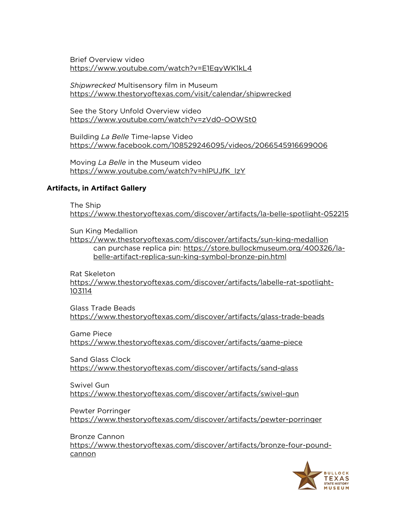Brief Overview video <https://www.youtube.com/watch?v=E1EgyWK1kL4>

*Shipwrecked* Multisensory film in Museum <https://www.thestoryoftexas.com/visit/calendar/shipwrecked>

See the Story Unfold Overview video <https://www.youtube.com/watch?v=zVd0-OOWSt0>

Building *La Belle* Time-lapse Video <https://www.facebook.com/108529246095/videos/2066545916699006>

Moving *La Belle* in the Museum video [https://www.youtube.com/watch?v=hlPUJfK\\_lzY](https://www.youtube.com/watch?v=hlPUJfK_lzY)

#### **Artifacts, in Artifact Gallery**

The Ship

<https://www.thestoryoftexas.com/discover/artifacts/la-belle-spotlight-052215>

Sun King Medallion

<https://www.thestoryoftexas.com/discover/artifacts/sun-king-medallion> can purchase replica pin: [https://store.bullockmuseum.org/400326/la](https://store.bullockmuseum.org/400326/la-belle-artifact-replica-sun-king-symbol-bronze-pin.html)[belle-artifact-replica-sun-king-symbol-bronze-pin.html](https://store.bullockmuseum.org/400326/la-belle-artifact-replica-sun-king-symbol-bronze-pin.html)

Rat Skeleton [https://www.thestoryoftexas.com/discover/artifacts/labelle-rat-spotlight-](https://www.thestoryoftexas.com/discover/artifacts/labelle-rat-spotlight-103114)[103114](https://www.thestoryoftexas.com/discover/artifacts/labelle-rat-spotlight-103114)

Glass Trade Beads <https://www.thestoryoftexas.com/discover/artifacts/glass-trade-beads>

Game Piece <https://www.thestoryoftexas.com/discover/artifacts/game-piece>

Sand Glass Clock <https://www.thestoryoftexas.com/discover/artifacts/sand-glass>

Swivel Gun <https://www.thestoryoftexas.com/discover/artifacts/swivel-gun>

Pewter Porringer <https://www.thestoryoftexas.com/discover/artifacts/pewter-porringer>

Bronze Cannon [https://www.thestoryoftexas.com/discover/artifacts/bronze-four-pound](https://www.thestoryoftexas.com/discover/artifacts/bronze-four-pound-cannon)[cannon](https://www.thestoryoftexas.com/discover/artifacts/bronze-four-pound-cannon)

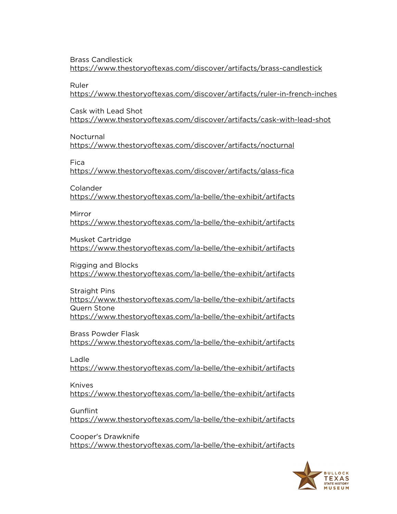Brass Candlestick <https://www.thestoryoftexas.com/discover/artifacts/brass-candlestick>

Ruler

<https://www.thestoryoftexas.com/discover/artifacts/ruler-in-french-inches>

Cask with Lead Shot

<https://www.thestoryoftexas.com/discover/artifacts/cask-with-lead-shot>

Nocturnal

<https://www.thestoryoftexas.com/discover/artifacts/nocturnal>

Fica

<https://www.thestoryoftexas.com/discover/artifacts/glass-fica>

Colander

<https://www.thestoryoftexas.com/la-belle/the-exhibit/artifacts>

Mirror

<https://www.thestoryoftexas.com/la-belle/the-exhibit/artifacts>

Musket Cartridge

<https://www.thestoryoftexas.com/la-belle/the-exhibit/artifacts>

Rigging and Blocks <https://www.thestoryoftexas.com/la-belle/the-exhibit/artifacts>

Straight Pins <https://www.thestoryoftexas.com/la-belle/the-exhibit/artifacts> Quern Stone <https://www.thestoryoftexas.com/la-belle/the-exhibit/artifacts>

Brass Powder Flask <https://www.thestoryoftexas.com/la-belle/the-exhibit/artifacts>

Ladle

<https://www.thestoryoftexas.com/la-belle/the-exhibit/artifacts>

Knives

<https://www.thestoryoftexas.com/la-belle/the-exhibit/artifacts>

**Gunflint** 

<https://www.thestoryoftexas.com/la-belle/the-exhibit/artifacts>

Cooper's Drawknife <https://www.thestoryoftexas.com/la-belle/the-exhibit/artifacts>

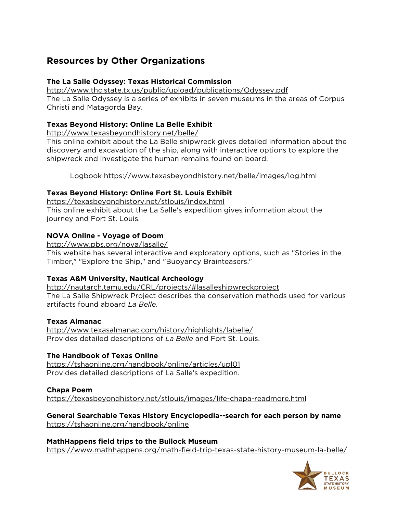# **Resources by Other Organizations**

## **The La Salle Odyssey: Texas Historical Commission**

<http://www.thc.state.tx.us/public/upload/publications/Odyssey.pdf> The La Salle Odyssey is a series of exhibits in seven museums in the areas of Corpus Christi and Matagorda Bay.

## **Texas Beyond History: Online La Belle Exhibit**

<http://www.texasbeyondhistory.net/belle/>

This online exhibit about the La Belle shipwreck gives detailed information about the discovery and excavation of the ship, along with interactive options to explore the shipwreck and investigate the human remains found on board.

Logbook<https://www.texasbeyondhistory.net/belle/images/log.html>

## **Texas Beyond History: Online Fort St. Louis Exhibit**

<https://texasbeyondhistory.net/stlouis/index.html> This online exhibit about the La Salle's expedition gives information about the journey and Fort St. Louis.

## **NOVA Online - Voyage of Doom**

<http://www.pbs.org/nova/lasalle/>

This website has several interactive and exploratory options, such as "Stories in the Timber," "Explore the Ship," and "Buoyancy Brainteasers."

## **Texas A&M University, Nautical Archeology**

<http://nautarch.tamu.edu/CRL/projects/#lasalleshipwreckproject> The La Salle Shipwreck Project describes the conservation methods used for various artifacts found aboard *La Belle*.

## **Texas Almanac**

<http://www.texasalmanac.com/history/highlights/labelle/> Provides detailed descriptions of *La Belle* and Fort St. Louis.

## **The Handbook of Texas Online**

<https://tshaonline.org/handbook/online/articles/upl01> Provides detailed descriptions of La Salle's expedition.

## **Chapa Poem**

<https://texasbeyondhistory.net/stlouis/images/life-chapa-readmore.html>

# **General Searchable Texas History Encyclopedia--search for each person by name**

<https://tshaonline.org/handbook/online>

#### **MathHappens field trips to the Bullock Museum** <https://www.mathhappens.org/math-field-trip-texas-state-history-museum-la-belle/>

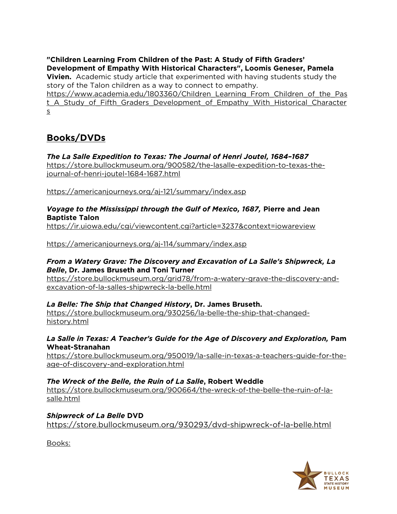**"Children Learning From Children of the Past: A Study of Fifth Graders' Development of Empathy With Historical Characters", Loomis Geneser, Pamela** 

**Vivien.** Academic study article that experimented with having students study the story of the Talon children as a way to connect to empathy.

[https://www.academia.edu/1803360/Children\\_Learning\\_From\\_Children\\_of\\_the\\_Pas](https://www.academia.edu/1803360/Children_Learning_From_Children_of_the_Past_A_Study_of_Fifth_Graders_Development_of_Empathy_With_Historical_Characters) t A Study of Fifth Graders Development of Empathy With Historical Character [s](https://www.academia.edu/1803360/Children_Learning_From_Children_of_the_Past_A_Study_of_Fifth_Graders_Development_of_Empathy_With_Historical_Characters)

# **Books/DVDs**

## *The La Salle Expedition to Texas: The Journal of Henri Joutel, 1684–1687*

[https://store.bullockmuseum.org/900582/the-lasalle-expedition-to-texas-the](https://store.bullockmuseum.org/900582/the-lasalle-expedition-to-texas-the-journal-of-henri-joutel-1684-1687.html)[journal-of-henri-joutel-1684-1687.html](https://store.bullockmuseum.org/900582/the-lasalle-expedition-to-texas-the-journal-of-henri-joutel-1684-1687.html)

<https://americanjourneys.org/aj-121/summary/index.asp>

#### *Voyage to the Mississippi through the Gulf of Mexico, 1687,* **Pierre and Jean Baptiste Talon**

<https://ir.uiowa.edu/cgi/viewcontent.cgi?article=3237&context=iowareview>

<https://americanjourneys.org/aj-114/summary/index.asp>

#### *From a Watery Grave: The Discovery and Excavation of La Salle's Shipwreck, La Belle***, Dr. James Bruseth and Toni Turner**

[https://store.bullockmuseum.org/grid78/from-a-watery-grave-the-discovery-and](https://store.bullockmuseum.org/grid78/from-a-watery-grave-the-discovery-and-excavation-of-la-salles-shipwreck-la-belle.html)[excavation-of-la-salles-shipwreck-la-belle.html](https://store.bullockmuseum.org/grid78/from-a-watery-grave-the-discovery-and-excavation-of-la-salles-shipwreck-la-belle.html)

## *La Belle: The Ship that Changed History***, Dr. James Bruseth.**

[https://store.bullockmuseum.org/930256/la-belle-the-ship-that-changed](https://store.bullockmuseum.org/930256/la-belle-the-ship-that-changed-history.html)[history.html](https://store.bullockmuseum.org/930256/la-belle-the-ship-that-changed-history.html)

## *La Salle in Texas: A Teacher's Guide for the Age of Discovery and Exploration,* **Pam Wheat-Stranahan**

[https://store.bullockmuseum.org/950019/la-salle-in-texas-a-teachers-guide-for-the](https://store.bullockmuseum.org/950019/la-salle-in-texas-a-teachers-guide-for-the-age-of-discovery-and-exploration.html)[age-of-discovery-and-exploration.html](https://store.bullockmuseum.org/950019/la-salle-in-texas-a-teachers-guide-for-the-age-of-discovery-and-exploration.html)

## *The Wreck of the Belle, the Ruin of La Salle***, Robert Weddle**

[https://store.bullockmuseum.org/900664/the-wreck-of-the-belle-the-ruin-of-la](https://store.bullockmuseum.org/900664/the-wreck-of-the-belle-the-ruin-of-la-salle.html)[salle.html](https://store.bullockmuseum.org/900664/the-wreck-of-the-belle-the-ruin-of-la-salle.html)

*Shipwreck of La Belle* **DVD** <https://store.bullockmuseum.org/930293/dvd-shipwreck-of-la-belle.html>

Books: